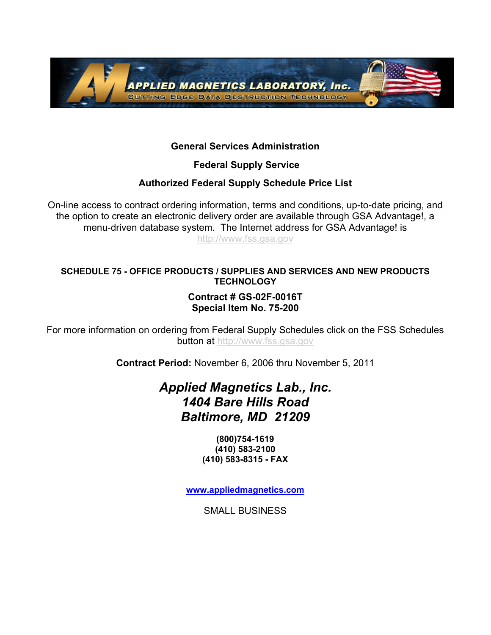

### **General Services Administration**

 **Federal Supply Service** 

## **Authorized Federal Supply Schedule Price List**

On-line access to contract ordering information, terms and conditions, up-to-date pricing, and the option to create an electronic delivery order are available through GSA Advantage!, a menu-driven database system. The Internet address for GSA Advantage! is http://www.fss.gsa.gov

#### **SCHEDULE 75 - OFFICE PRODUCTS / SUPPLIES AND SERVICES AND NEW PRODUCTS TECHNOLOGY**

### **Contract # GS-02F-0016T Special Item No. 75-200**

For more information on ordering from Federal Supply Schedules click on the FSS Schedules **button at http://www.fss.gsa.gov** 

**Contract Period:** November 6, 2006 thru November 5, 2011

# *Applied Magnetics Lab., Inc. 1404 Bare Hills Road Baltimore, MD 21209*

**(800)754-1619 (410) 583-2100 (410) 583-8315 - FAX**

**www.appliedmagnetics.com**

SMALL BUSINESS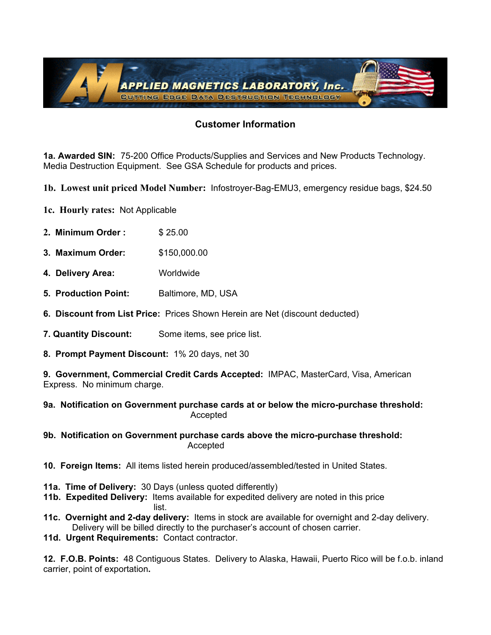

#### **Customer Information**

**1a. Awarded SIN:** 75-200 Office Products/Supplies and Services and New Products Technology. Media Destruction Equipment. See GSA Schedule for products and prices.

**1b. Lowest unit priced Model Number:** Infostroyer-Bag-EMU3, emergency residue bags, \$24.50

- **1c. Hourly rates:** Not Applicable
- **2. Minimum Order :** \$ 25.00
- **3. Maximum Order:** \$150,000.00
- **4. Delivery Area:** Worldwide
- **5. Production Point:** Baltimore, MD, USA
- **6. Discount from List Price:** Prices Shown Herein are Net (discount deducted)
- **7. Quantity Discount:** Some items, see price list.
- **8. Prompt Payment Discount:** 1% 20 days, net 30

**9. Government, Commercial Credit Cards Accepted:** IMPAC, MasterCard, Visa, American Express. No minimum charge.

**9a. Notification on Government purchase cards at or below the micro-purchase threshold:** Accepted

- **9b. Notification on Government purchase cards above the micro-purchase threshold:**  Accepted
- **10. Foreign Items:** All items listed herein produced/assembled/tested in United States.
- **11a. Time of Delivery:** 30 Days (unless quoted differently)
- **11b. Expedited Delivery:** Items available for expedited delivery are noted in this price list. The contract of the contract of the contract of the contract of the contract of the contract of the contr
- **11c. Overnight and 2-day delivery:** Items in stock are available for overnight and 2-day delivery. Delivery will be billed directly to the purchaser's account of chosen carrier.
- **11d. Urgent Requirements:** Contact contractor.

**12. F.O.B. Points:** 48 Contiguous States. Delivery to Alaska, Hawaii, Puerto Rico will be f.o.b. inland carrier, point of exportation**.**